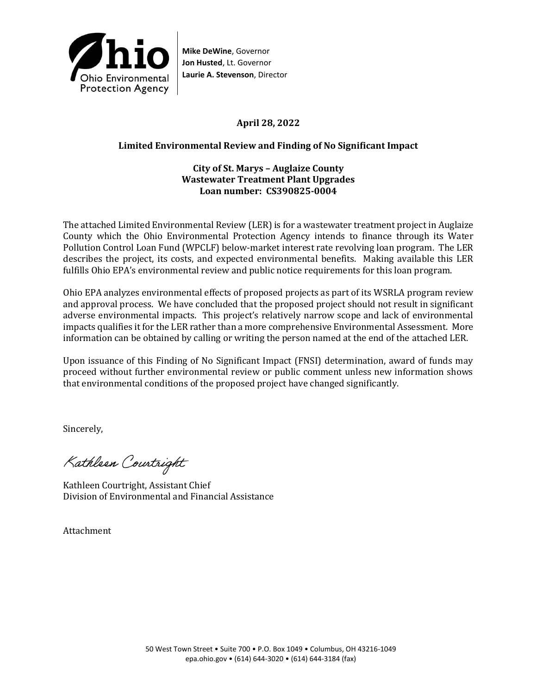

**Mike DeWine**, Governor **Jon Husted**, Lt. Governor **Laurie A. Stevenson**, Director

# **April 28, 2022**

## **Limited Environmental Review and Finding of No Significant Impact**

### **City of St. Marys – Auglaize County Wastewater Treatment Plant Upgrades Loan number: CS390825-0004**

The attached Limited Environmental Review (LER) is for a wastewater treatment project in Auglaize County which the Ohio Environmental Protection Agency intends to finance through its Water Pollution Control Loan Fund (WPCLF) below-market interest rate revolving loan program. The LER describes the project, its costs, and expected environmental benefits. Making available this LER fulfills Ohio EPA's environmental review and public notice requirements for this loan program.

Ohio EPA analyzes environmental effects of proposed projects as part of its WSRLA program review and approval process. We have concluded that the proposed project should not result in significant adverse environmental impacts. This project's relatively narrow scope and lack of environmental impacts qualifies it for the LER rather than a more comprehensive Environmental Assessment. More information can be obtained by calling or writing the person named at the end of the attached LER.

Upon issuance of this Finding of No Significant Impact (FNSI) determination, award of funds may proceed without further environmental review or public comment unless new information shows that environmental conditions of the proposed project have changed significantly.

Sincerely,

Kathleen Courtright

Kathleen Courtright, Assistant Chief Division of Environmental and Financial Assistance

Attachment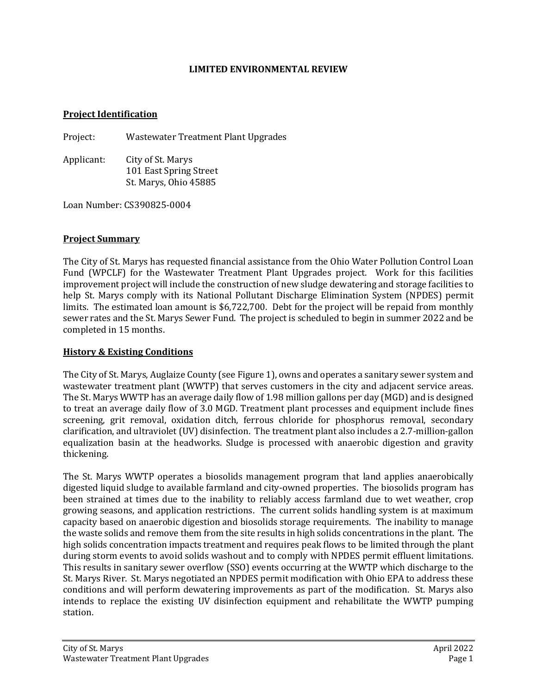### **LIMITED ENVIRONMENTAL REVIEW**

#### **Project Identification**

Project: Wastewater Treatment Plant Upgrades

Applicant: City of St. Marys 101 East Spring Street St. Marys, Ohio 45885

Loan Number: CS390825-0004

### **Project Summary**

The City of St. Marys has requested financial assistance from the Ohio Water Pollution Control Loan Fund (WPCLF) for the Wastewater Treatment Plant Upgrades project. Work for this facilities improvement project will include the construction of new sludge dewatering and storage facilities to help St. Marys comply with its National Pollutant Discharge Elimination System (NPDES) permit limits. The estimated loan amount is \$6,722,700. Debt for the project will be repaid from monthly sewer rates and the St. Marys Sewer Fund. The project is scheduled to begin in summer 2022 and be completed in 15 months.

### **History & Existing Conditions**

The City of St. Marys, Auglaize County (see Figure 1), owns and operates a sanitary sewer system and wastewater treatment plant (WWTP) that serves customers in the city and adjacent service areas. The St. Marys WWTP has an average daily flow of 1.98 million gallons per day (MGD) and is designed to treat an average daily flow of 3.0 MGD. Treatment plant processes and equipment include fines screening, grit removal, oxidation ditch, ferrous chloride for phosphorus removal, secondary clarification, and ultraviolet (UV) disinfection. The treatment plant also includes a 2.7-million-gallon equalization basin at the headworks. Sludge is processed with anaerobic digestion and gravity thickening.

The St. Marys WWTP operates a biosolids management program that land applies anaerobically digested liquid sludge to available farmland and city-owned properties. The biosolids program has been strained at times due to the inability to reliably access farmland due to wet weather, crop growing seasons, and application restrictions. The current solids handling system is at maximum capacity based on anaerobic digestion and biosolids storage requirements. The inability to manage the waste solids and remove them from the site results in high solids concentrations in the plant. The high solids concentration impacts treatment and requires peak flows to be limited through the plant during storm events to avoid solids washout and to comply with NPDES permit effluent limitations. This results in sanitary sewer overflow (SSO) events occurring at the WWTP which discharge to the St. Marys River. St. Marys negotiated an NPDES permit modification with Ohio EPA to address these conditions and will perform dewatering improvements as part of the modification. St. Marys also intends to replace the existing UV disinfection equipment and rehabilitate the WWTP pumping station.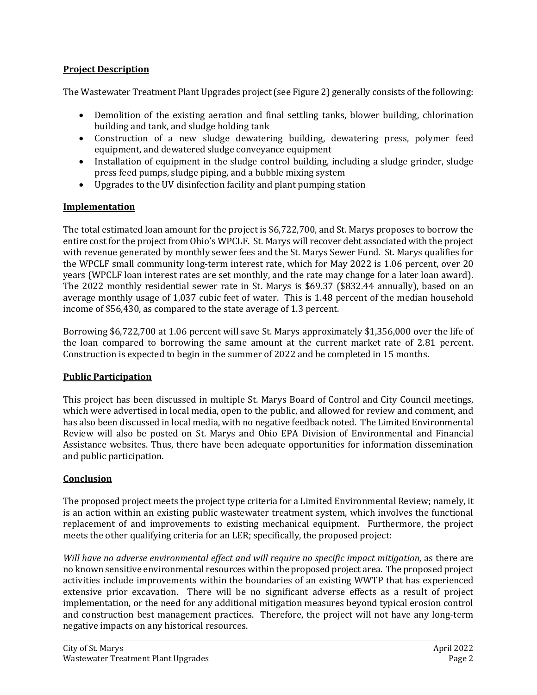## **Project Description**

The Wastewater Treatment Plant Upgrades project (see Figure 2) generally consists of the following:

- Demolition of the existing aeration and final settling tanks, blower building, chlorination building and tank, and sludge holding tank
- Construction of a new sludge dewatering building, dewatering press, polymer feed equipment, and dewatered sludge conveyance equipment
- Installation of equipment in the sludge control building, including a sludge grinder, sludge press feed pumps, sludge piping, and a bubble mixing system
- Upgrades to the UV disinfection facility and plant pumping station

# **Implementation**

The total estimated loan amount for the project is \$6,722,700, and St. Marys proposes to borrow the entire cost for the project from Ohio's WPCLF. St. Marys will recover debt associated with the project with revenue generated by monthly sewer fees and the St. Marys Sewer Fund. St. Marys qualifies for the WPCLF small community long-term interest rate, which for May 2022 is 1.06 percent, over 20 years (WPCLF loan interest rates are set monthly, and the rate may change for a later loan award). The 2022 monthly residential sewer rate in St. Marys is \$69.37 (\$832.44 annually), based on an average monthly usage of 1,037 cubic feet of water. This is 1.48 percent of the median household income of \$56,430, as compared to the state average of 1.3 percent.

Borrowing \$6,722,700 at 1.06 percent will save St. Marys approximately \$1,356,000 over the life of the loan compared to borrowing the same amount at the current market rate of 2.81 percent. Construction is expected to begin in the summer of 2022 and be completed in 15 months.

### **Public Participation**

This project has been discussed in multiple St. Marys Board of Control and City Council meetings, which were advertised in local media, open to the public, and allowed for review and comment, and has also been discussed in local media, with no negative feedback noted. The Limited Environmental Review will also be posted on St. Marys and Ohio EPA Division of Environmental and Financial Assistance websites. Thus, there have been adequate opportunities for information dissemination and public participation.

### **Conclusion**

The proposed project meets the project type criteria for a Limited Environmental Review; namely, it is an action within an existing public wastewater treatment system, which involves the functional replacement of and improvements to existing mechanical equipment. Furthermore, the project meets the other qualifying criteria for an LER; specifically, the proposed project:

*Will have no adverse environmental effect and will require no specific impact mitigation,* as there are no known sensitive environmental resources within the proposed project area. The proposed project activities include improvements within the boundaries of an existing WWTP that has experienced extensive prior excavation. There will be no significant adverse effects as a result of project implementation, or the need for any additional mitigation measures beyond typical erosion control and construction best management practices. Therefore, the project will not have any long-term negative impacts on any historical resources.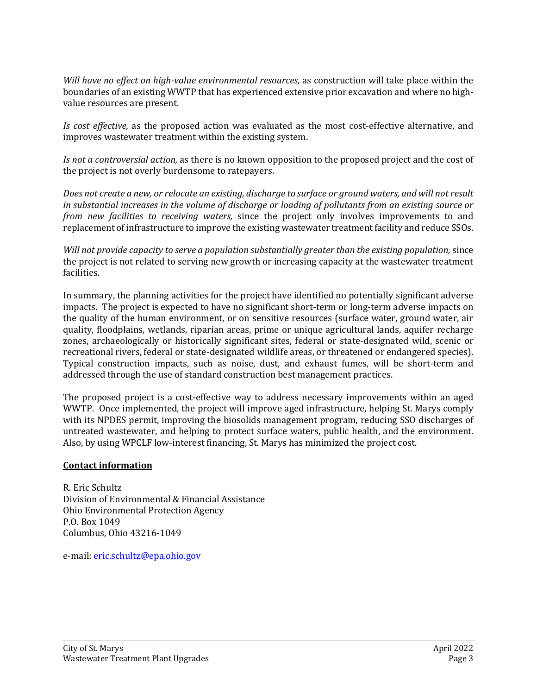*Will have no effect on high-value environmental resources,* as construction will take place within the boundaries of an existing WWTP that has experienced extensive prior excavation and where no highvalue resources are present.

*Is cost effective,* as the proposed action was evaluated as the most cost-effective alternative, and improves wastewater treatment within the existing system.

*Is not a controversial action,* as there is no known opposition to the proposed project and the cost of the project is not overly burdensome to ratepayers.

*Does not create a new, or relocate an existing, discharge to surface or ground waters, and will not result in substantial increases in the volume of discharge or loading of pollutants from an existing source or from new facilities to receiving waters,* since the project only involves improvements to and replacement of infrastructure to improve the existing wastewater treatment facility and reduce SSOs.

*Will not provide capacity to serve a population substantially greater than the existing population,* since the project is not related to serving new growth or increasing capacity at the wastewater treatment facilities.

In summary, the planning activities for the project have identified no potentially significant adverse impacts. The project is expected to have no significant short-term or long-term adverse impacts on the quality of the human environment, or on sensitive resources (surface water, ground water, air quality, floodplains, wetlands, riparian areas, prime or unique agricultural lands, aquifer recharge zones, archaeologically or historically significant sites, federal or state-designated wild, scenic or recreational rivers, federal or state-designated wildlife areas, or threatened or endangered species). Typical construction impacts, such as noise, dust, and exhaust fumes, will be short-term and addressed through the use of standard construction best management practices.

The proposed project is a cost-effective way to address necessary improvements within an aged WWTP. Once implemented, the project will improve aged infrastructure, helping St. Marys comply with its NPDES permit, improving the biosolids management program, reducing SSO discharges of untreated wastewater, and helping to protect surface waters, public health, and the environment. Also, by using WPCLF low-interest financing, St. Marys has minimized the project cost.

### **Contact information**

R. Eric Schultz Division of Environmental & Financial Assistance Ohio Environmental Protection Agency P.O. Box 1049 Columbus, Ohio 43216-1049

e-mail: [eric.schultz@epa.ohio.gov](mailto:eric.schultz@epa.ohio.gov)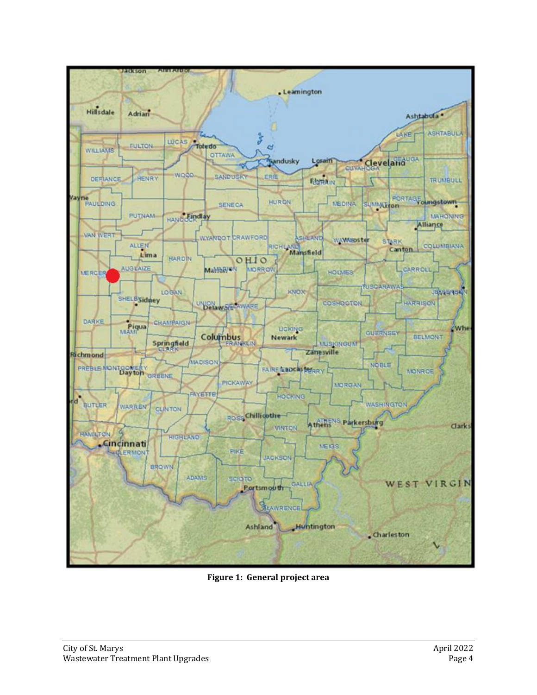

**Figure 1: General project area**